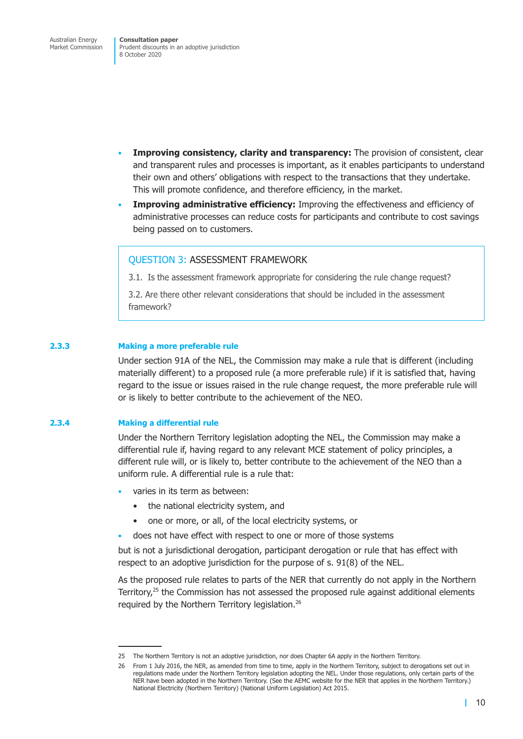- **Improving consistency, clarity and transparency:** The provision of consistent, clear and transparent rules and processes is important, as it enables participants to understand their own and others' obligations with respect to the transactions that they undertake. This will promote confidence, and therefore efficiency, in the market.
- **Improving administrative efficiency:** Improving the effectiveness and efficiency of administrative processes can reduce costs for participants and contribute to cost savings being passed on to customers.

### QUESTION 3: ASSESSMENT FRAMEWORK

3.1. Is the assessment framework appropriate for considering the rule change request?

3.2. Are there other relevant considerations that should be included in the assessment framework?

#### **2.3.3 Making a more preferable rule**

Under section 91A of the NEL, the Commission may make a rule that is different (including materially different) to a proposed rule (a more preferable rule) if it is satisfied that, having regard to the issue or issues raised in the rule change request, the more preferable rule will or is likely to better contribute to the achievement of the NEO.

### **2.3.4 Making a differential rule**

Under the Northern Territory legislation adopting the NEL, the Commission may make a differential rule if, having regard to any relevant MCE statement of policy principles, a different rule will, or is likely to, better contribute to the achievement of the NEO than a uniform rule. A differential rule is a rule that:

- varies in its term as between:
	- the national electricity system, and
	- one or more, or all, of the local electricity systems, or
	- does not have effect with respect to one or more of those systems

but is not a jurisdictional derogation, participant derogation or rule that has effect with respect to an adoptive jurisdiction for the purpose of s. 91(8) of the NEL.

As the proposed rule relates to parts of the NER that currently do not apply in the Northern Territory,<sup>25</sup> the Commission has not assessed the proposed rule against additional elements required by the Northern Territory legislation.<sup>26</sup>

<sup>25</sup> The Northern Territory is not an adoptive jurisdiction, nor does Chapter 6A apply in the Northern Territory.

<sup>26</sup> From 1 July 2016, the NER, as amended from time to time, apply in the Northern Territory, subject to derogations set out in regulations made under the Northern Territory legislation adopting the NEL. Under those regulations, only certain parts of the NER have been adopted in the Northern Territory. (See the AEMC website for the NER that applies in the Northern Territory.) National Electricity (Northern Territory) (National Uniform Legislation) Act 2015.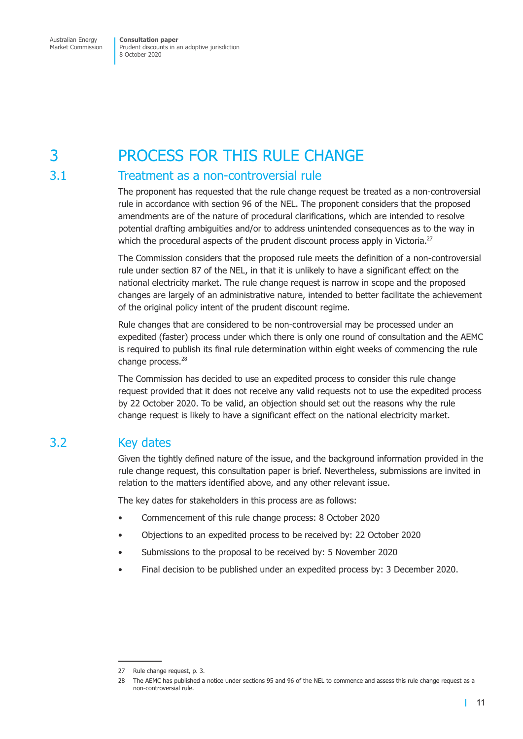# 3 PROCESS FOR THIS RULE CHANGE

### 3.1 Treatment as a non-controversial rule

The proponent has requested that the rule change request be treated as a non-controversial rule in accordance with section 96 of the NEL. The proponent considers that the proposed amendments are of the nature of procedural clarifications, which are intended to resolve potential drafting ambiguities and/or to address unintended consequences as to the way in which the procedural aspects of the prudent discount process apply in Victoria.<sup>27</sup>

The Commission considers that the proposed rule meets the definition of a non-controversial rule under section 87 of the NEL, in that it is unlikely to have a significant effect on the national electricity market. The rule change request is narrow in scope and the proposed changes are largely of an administrative nature, intended to better facilitate the achievement of the original policy intent of the prudent discount regime.

Rule changes that are considered to be non-controversial may be processed under an expedited (faster) process under which there is only one round of consultation and the AEMC is required to publish its final rule determination within eight weeks of commencing the rule change process.<sup>28</sup>

The Commission has decided to use an expedited process to consider this rule change request provided that it does not receive any valid requests not to use the expedited process by 22 October 2020. To be valid, an objection should set out the reasons why the rule change request is likely to have a significant effect on the national electricity market.

### 3.2 Key dates

Given the tightly defined nature of the issue, and the background information provided in the rule change request, this consultation paper is brief. Nevertheless, submissions are invited in relation to the matters identified above, and any other relevant issue.

The key dates for stakeholders in this process are as follows:

- Commencement of this rule change process: 8 October 2020
- Objections to an expedited process to be received by: 22 October 2020
- Submissions to the proposal to be received by: 5 November 2020
- Final decision to be published under an expedited process by: 3 December 2020.

<sup>27</sup> Rule change request, p. 3.

<sup>28</sup> The AEMC has published a notice under sections 95 and 96 of the NEL to commence and assess this rule change request as a non-controversial rule.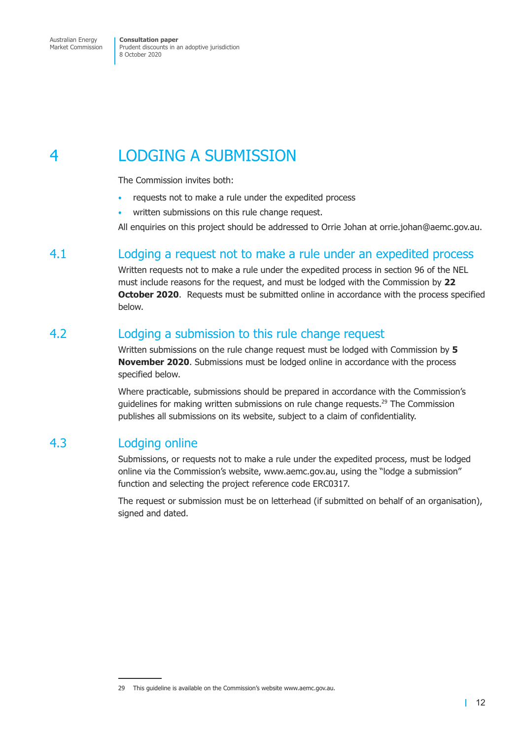# 4 LODGING A SUBMISSION

The Commission invites both:

- requests not to make a rule under the expedited process
- written submissions on this rule change request.

All enquiries on this project should be addressed to Orrie Johan at orrie.johan@aemc.gov.au.

## 4.1 Lodging a request not to make a rule under an expedited process

Written requests not to make a rule under the expedited process in section 96 of the NEL must include reasons for the request, and must be lodged with the Commission by **22 October 2020.** Requests must be submitted online in accordance with the process specified below.

## 4.2 Lodging a submission to this rule change request

Written submissions on the rule change request must be lodged with Commission by **5 November 2020**. Submissions must be lodged online in accordance with the process specified below.

Where practicable, submissions should be prepared in accordance with the Commission's guidelines for making written submissions on rule change requests.<sup>29</sup> The Commission publishes all submissions on its website, subject to a claim of confidentiality.

### 4.3 Lodging online

Submissions, or requests not to make a rule under the expedited process, must be lodged online via the Commission's website, www.aemc.gov.au, using the "lodge a submission" function and selecting the project reference code ERC0317.

The request or submission must be on letterhead (if submitted on behalf of an organisation), signed and dated.

<sup>29</sup> This guideline is available on the Commission's website www.aemc.gov.au.